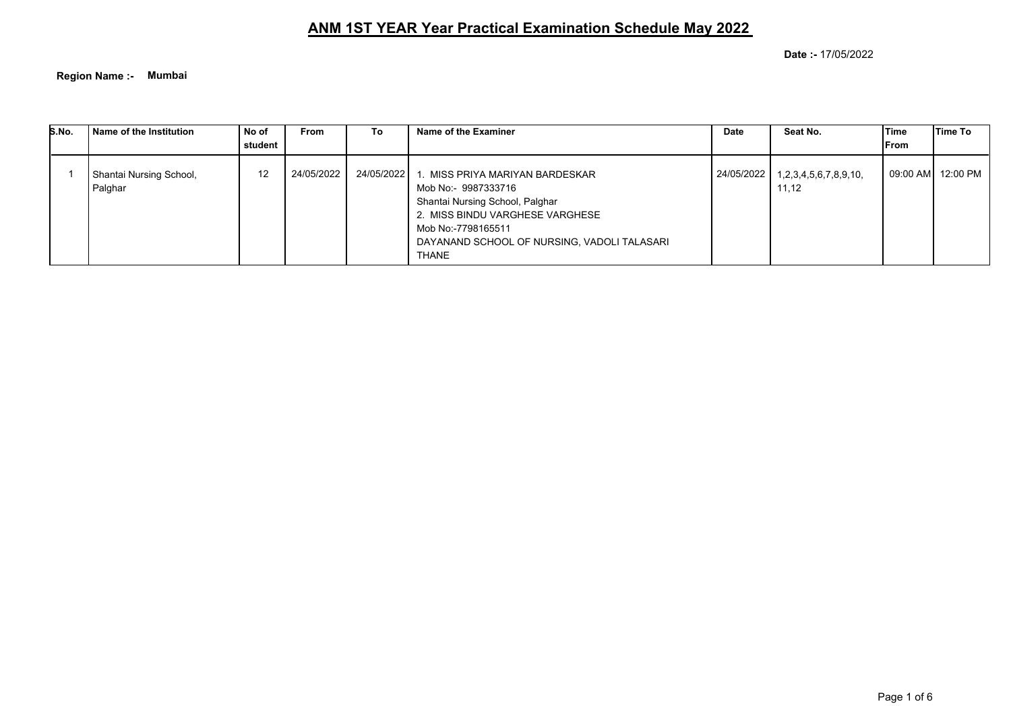**Date :-** 17/05/2022

**Region Name :- Mumbai**

| S.No. | Name of the Institution            | No of<br>student | <b>From</b> | To         | Name of the Examiner                                                                                                                                                                                              | Date       | Seat No.                       | lTime<br>lFrom | lTime To            |
|-------|------------------------------------|------------------|-------------|------------|-------------------------------------------------------------------------------------------------------------------------------------------------------------------------------------------------------------------|------------|--------------------------------|----------------|---------------------|
|       | Shantai Nursing School,<br>Palghar | 12               | 24/05/2022  | 24/05/2022 | 1. MISS PRIYA MARIYAN BARDESKAR<br>Mob No:- 9987333716<br>Shantai Nursing School, Palghar<br>2. MISS BINDU VARGHESE VARGHESE<br>Mob No:-7798165511<br>DAYANAND SCHOOL OF NURSING, VADOLI TALASARI<br><b>THANE</b> | 24/05/2022 | 1,2,3,4,5,6,7,8,9,10,<br>11,12 |                | 09:00 AM   12:00 PM |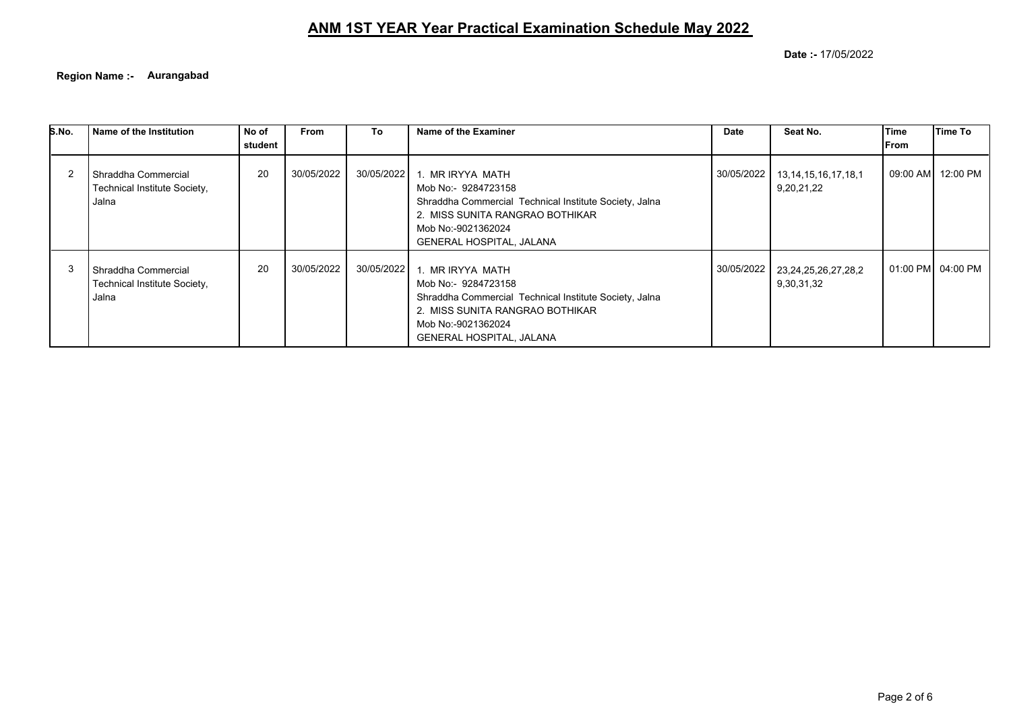**Date :-** 17/05/2022

**Region Name :- Aurangabad**

| S.No. | Name of the Institution                                        | No of<br>student | <b>From</b> | To           | Name of the Examiner                                                                                                                                                                          | Date       | Seat No.                                | Time<br>lFrom | lTime To          |
|-------|----------------------------------------------------------------|------------------|-------------|--------------|-----------------------------------------------------------------------------------------------------------------------------------------------------------------------------------------------|------------|-----------------------------------------|---------------|-------------------|
|       | l Shraddha Commercial<br>Technical Institute Society,<br>Jalna | 20               | 30/05/2022  | 30/05/2022 l | 1. MR IRYYA MATH<br>Mob No:- 9284723158<br>Shraddha Commercial Technical Institute Society, Jalna<br>2. MISS SUNITA RANGRAO BOTHIKAR<br>Mob No:-9021362024<br><b>GENERAL HOSPITAL, JALANA</b> | 30/05/2022 | 13, 14, 15, 16, 17, 18, 1<br>9,20,21,22 | 09:00 AM      | 12:00 PM          |
|       | l Shraddha Commercial<br>Technical Institute Society,<br>Jalna | 20               | 30/05/2022  | 30/05/2022 1 | 1. MR IRYYA MATH<br>Mob No:- 9284723158<br>Shraddha Commercial Technical Institute Society, Jalna<br>2. MISS SUNITA RANGRAO BOTHIKAR<br>Mob No:-9021362024<br><b>GENERAL HOSPITAL, JALANA</b> | 30/05/2022 | 23, 24, 25, 26, 27, 28, 2<br>9,30,31,32 |               | 01:00 PM 04:00 PM |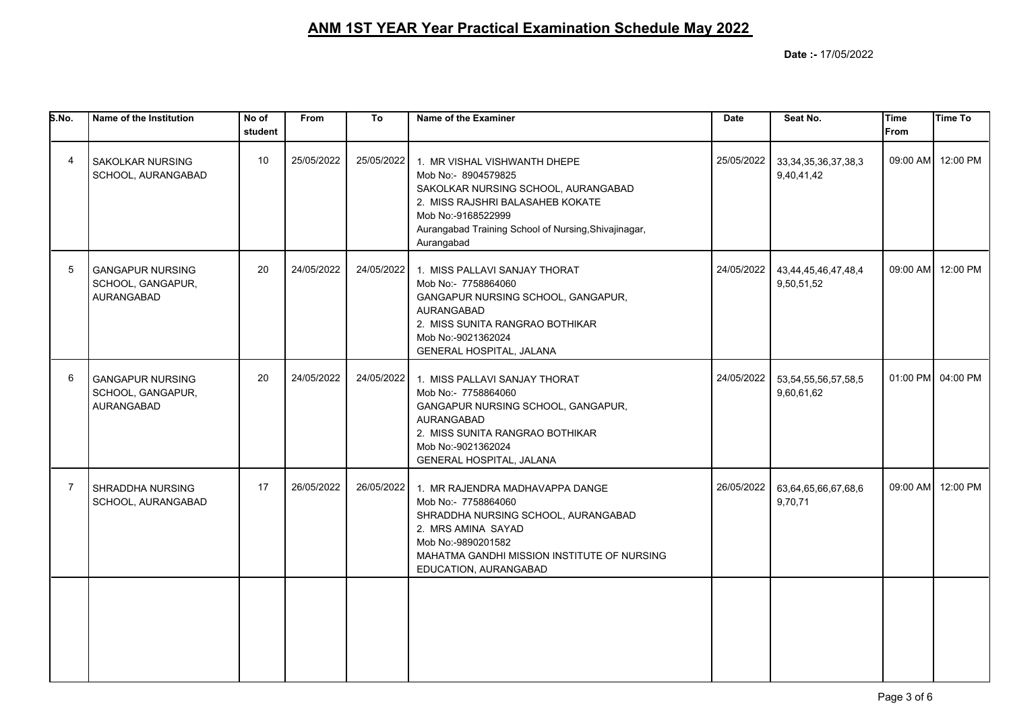| S.No.          | Name of the Institution                                           | No of<br>student | From       | To         | Name of the Examiner                                                                                                                                                                                                       | <b>Date</b> | Seat No.                                | <b>Time</b><br><b>From</b> | Time To           |
|----------------|-------------------------------------------------------------------|------------------|------------|------------|----------------------------------------------------------------------------------------------------------------------------------------------------------------------------------------------------------------------------|-------------|-----------------------------------------|----------------------------|-------------------|
| 4              | <b>SAKOLKAR NURSING</b><br>SCHOOL, AURANGABAD                     | 10               | 25/05/2022 | 25/05/2022 | 1. MR VISHAL VISHWANTH DHEPE<br>Mob No:- 8904579825<br>SAKOLKAR NURSING SCHOOL, AURANGABAD<br>2. MISS RAJSHRI BALASAHEB KOKATE<br>Mob No:-9168522999<br>Aurangabad Training School of Nursing, Shivajinagar,<br>Aurangabad | 25/05/2022  | 33, 34, 35, 36, 37, 38, 3<br>9,40,41,42 |                            | 09:00 AM 12:00 PM |
| 5              | <b>GANGAPUR NURSING</b><br>SCHOOL, GANGAPUR,<br><b>AURANGABAD</b> | 20               | 24/05/2022 | 24/05/2022 | 1. MISS PALLAVI SANJAY THORAT<br>Mob No:- 7758864060<br>GANGAPUR NURSING SCHOOL, GANGAPUR,<br><b>AURANGABAD</b><br>2. MISS SUNITA RANGRAO BOTHIKAR<br>Mob No:-9021362024<br>GENERAL HOSPITAL, JALANA                       | 24/05/2022  | 43,44,45,46,47,48,4<br>9,50,51,52       |                            | 09:00 AM 12:00 PM |
| 6              | <b>GANGAPUR NURSING</b><br>SCHOOL, GANGAPUR,<br>AURANGABAD        | 20               | 24/05/2022 | 24/05/2022 | 1. MISS PALLAVI SANJAY THORAT<br>Mob No:- 7758864060<br>GANGAPUR NURSING SCHOOL, GANGAPUR,<br>AURANGABAD<br>2. MISS SUNITA RANGRAO BOTHIKAR<br>Mob No:-9021362024<br>GENERAL HOSPITAL, JALANA                              | 24/05/2022  | 53, 54, 55, 56, 57, 58, 5<br>9,60,61,62 |                            | 01:00 PM 04:00 PM |
| $\overline{7}$ | SHRADDHA NURSING<br>SCHOOL, AURANGABAD                            | 17               | 26/05/2022 | 26/05/2022 | 1. MR RAJENDRA MADHAVAPPA DANGE<br>Mob No:- 7758864060<br>SHRADDHA NURSING SCHOOL, AURANGABAD<br>2. MRS AMINA SAYAD<br>Mob No:-9890201582<br>MAHATMA GANDHI MISSION INSTITUTE OF NURSING<br>EDUCATION, AURANGABAD          | 26/05/2022  | 63,64,65,66,67,68,6<br>9,70,71          |                            | 09:00 AM 12:00 PM |
|                |                                                                   |                  |            |            |                                                                                                                                                                                                                            |             |                                         |                            |                   |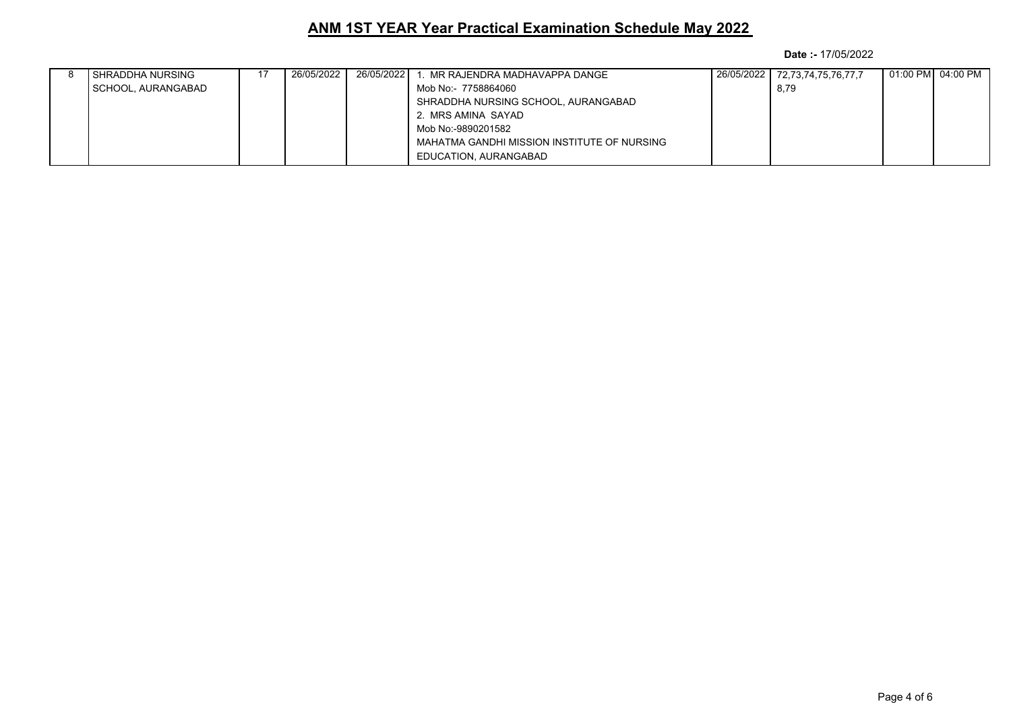|  | I SHRADDHA NURSING | 26/05/2022 l | 26/05/2022 | . MR RAJENDRA MADHAVAPPA DANGE              | 26/05/2022 | 72,73,74,75,76,77,7 |  |
|--|--------------------|--------------|------------|---------------------------------------------|------------|---------------------|--|
|  | SCHOOL, AURANGABAD |              |            | Mob No:- 7758864060                         |            | 8,79                |  |
|  |                    |              |            | SHRADDHA NURSING SCHOOL, AURANGABAD         |            |                     |  |
|  |                    |              |            | 2. MRS AMINA SAYAD                          |            |                     |  |
|  |                    |              |            | Mob No:-9890201582                          |            |                     |  |
|  |                    |              |            | MAHATMA GANDHI MISSION INSTITUTE OF NURSING |            |                     |  |
|  |                    |              |            | EDUCATION, AURANGABAD                       |            |                     |  |